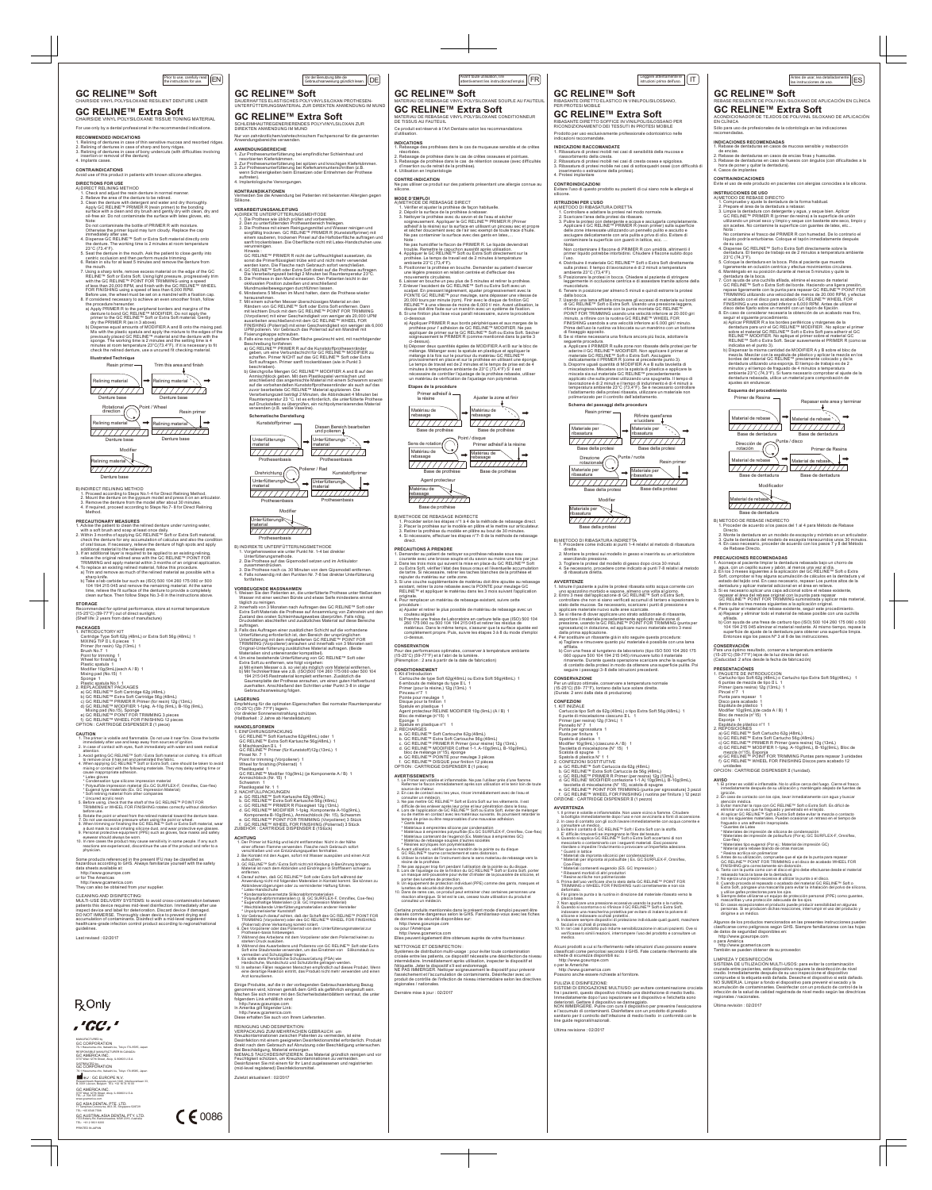### **CONTRAINDICATIONS**

### this product in patients with known silicone allergies

**DIRECTIONS FOR USE** A) DIRECT RELINING METHOD

B) INDIRECT RELINING METHOD 1. Proceed according to Steps No.1-4 for Direct Relining Method.<br>2. Mount the denture on the gypsum model and press it on an articulator.<br>3. Remove the denture from the model after about 30 minutes.<br>4. If required, proceed

-<br>nded for optimal performance, store at normal temperature (15-25°C) (59-77°F) out of direct sunlight. (Shelf life: 2 years from date of manufacture)

- 1. INTRODUCTORY KIT Cartridge Type Soft 62g (48mL) or Extra Soft 56g (48mL) 1 MIXING TIP II L 6 pieces 1 Primer (for resin) 12g (13mL) 1
- 
- Brush No.7 1 Point for trimming 1
- Wheel for finishing 1
- Plastic spatula 1
- Modifier 10g(9mL)(each A / B) 1<br>Mixing pad (No.15) 1
- 
- 
- 
- 
- 
- Mixing pad (No.15) 1<br>
Sponge 1<br>
Plastic spatula No.1 1<br>
2. REPLACEMENT PACKAGES<br>
2) GC RELINE™ Soft Cartridge 62g (48mL)<br>
b) GC RELINE™ Extra Soft Cartridge 56g (48mL)<br>
b) GC RELINE™ PRIMER R Primer (for resin) 12g (13mL)
- 

- 1. The primer is volatile and flammable. Do not use it near fire. Close the bottle<br>immediately after use and keep away from sources of ignition.<br>2. In case of contact with eyes, flush immediately with water and seek medica
- attention. 3. Avoid getting GC RELINE™ Soft / Extra Soft material on clothing. It is difficult
- to remove once it has set and penetrated the fabric. 4. When applying GC RELINE™ Soft or Extra Soft, care should be taken to avoid

Method.

- . Advise the patient to clean the relined denture under running water with a soft brush and soap at least once daily.<br>2. Within 3 months of applying GC RELINE™ Soft or Extra Soft material,<br>check the denture for any accumulation of calculus and also the condition<br>of oral tissue. If necessary,
- 
- additional material to the relieved area.<br>
3. If an additional layer is required to be applied to an existing relining,<br>
relieve the original relined area with the GC RELINE™ POINT FOR<br>
TRIMMING and apply material within
- 
- sharp knife.<br>
b) Take a lab carbide bur such as (ISO) 500 104 260 175 060 or 500<br>
104 194 215 045 and remove the remaining material. At the same<br>
time, relieve the fit surface of the denture to provide a completely<br>
clean

### **PRECAUTIONARY MEASURES**

- 
- cause inappropriate adhesion.<br>\* Latex gloves<br>\* Condensation type silicone impression material<br>\* Polysulfide impression material (Ex.GC SURFLEX-F, Omniflex, Coe-flex)<br>\* Eugenol type materials (Ex. GC Impression Material)<br>\*
- 
- \* Uncured acrylic resin 5. Before using, check that the shaft of the GC RELINE™ POINT FOR TRIMMING or WHEEL FOR FINISHING rotates correctly without distortion
- before use. 6. Rotate the point or wheel from the relined material toward the denture base.
- 
- 7. Do not use excessive pressure when using the point or wheel.<br>
S. When trimming or finishing the GC RELINE<sup>TW</sup> Soft or Extra Soft material, wear<br>
a dust mask to avoid inhaling silicone dust, and wear protective eye glas
- physician.

CLEANING AND DISINFECTING:<br>MULTI-USE DELIVERY SYSTEMS: to avoid cross-contamination between<br>patients this device requires mid-level disinfection. Immediately after use<br>inspect device and label for deterioration. Discard de guidelines.

### **STORAGE**

### **PACKAGES**

### **CAUTION**

mixing or contact with the following materials. They may delay setting time or

- VORBEUGENDE MASSNAHMEN<br>1. Weisen Sie den Patienten an, die unterfütterte Prothese unter fließendem<br>1. Weisen The liener weichen Bürste und etwas Seife mindestens einmal<br>1. Weisen mit einer weichen Bürste und etwas Seife m
- 3. Falls das Auftragen einer zusätzlichen Schicht auf die vorhandene Unterfütterung erforderlich ist, den Bereich der ursprünglichen<br>Unterfütterung mit dem mitgelieferten GC RELINE™ POINT FOR<br>TRIMMING (Vorpolierer) anrauhen und innerhalb von 3 Monaten seit
- Original-Unterfütterung zusätzliches Material auftragen. (Beide Materialien sind untereinander kompatibel).<br>4. Um eine bestehende Unterfütterung von GC RELINE™ Soft oder<br>- Extra Soft zu entfernen, wie folgt vorgehen:
- a) Mit einem Messer o.ä. so viel als möglich vom Material entfernen. b) Mit Technikerfräse wie z.B. (ISO)500 104 260 175 060 oder 500 104 194 215 045 Restmaterial komplett entfernen. Zusätzlich die Gaumenplatte der Prothese anrauhen, um einen guten Haftverbund zuerhalten. Anschließend den Schritten unter Punkt 3-8 in obiger Gebrauchsanweisung folgen.

**LAGERUNG**<br>Empfehl**ung**<br>(15-25°C) (59- 77°F) lagern.<br>Vor direkter Sonneneinstrahlung schützen.<br>Vor direkter Sonneneinstrahlung schützen.<br>(Haltbarkeit : 2 Jahre ab Herstelldatum)

 GC RELINE™ Modifier 10g(9mL) (je Komponente A / B) 1 Anmischblock (Nr. 15) 1 Schwamm<sub>1</sub>

- 
- 
- 
- 
- 
- 
- 
- 
- 
- Plastikspatel Nr. 1 1<br>2. NACHFÜLLPACKUNGEN
- 
- 
- 
- 
- 2. NACHFULLPACKUNGEN<br>
b. GC RELINE™ Extra Soft Kartusche 62g (48mL)<br>
b. GC RELINE™ Extra Soft Kartusche 56g (48mL)<br>
c. GC RELINE™ PRIMER R Flüssigkeit 12g (13mL)<br>
d. GC RELINE™ MODIFIER 1-1pkg. Komponente A-10g(9mL),<br>
Kom
	-
- f. GC RELINE™ WHEEL FOR FINISHING (Polierrad) 3 Stück ZUBEHÖR : CARTRIDGE DISPENSER II (1Stück)
- 

- 
- 
- entiernen.<br>4. Darauf achten, daß GC RELINE™ Soft oder Extra Soft während der
	-
	-
	-
- 
- Prothesen-basis hinbewegen.<br>
2. Während des Arbeitens mit dem Vorpolierer oder dem Polierrad keinen zu
- 
- 
- 
- 

- 
- 

Some products referenced in the present IFU may be classified as hazardous according to GHS. Always familiarize yourself with the safety data sheets available at:

- http://www.gceurope.com or for The Americas
- 

http://www.gcamerica.com They can also be obtained from your supplier.

Last revised : 02/2017

# **R** Only



-ku, Tokyo 174-8585, Japar RESPONSIBLE MANUFACTURER IN CANADA: GC AMERICA INC. 3737 West 127th Street, Alsip, IL 60803 U.S.A. MANUFACTURED by GC CORPORATION DISTRIBUTED by GC CORPORATION .<br>ku, Tokyo 174-8585, Japan

# Anwendungsbereiche verwenden.

- ANWENDUNGBEREICHE<br>
1. Zur Prothesenunterfütterung bei empfindlicher Schleimhaut und<br>
1. zur Prothesenunterfütterung bei spitzen und knochigen Kieferkämmen.<br>
2. Zur Prothesenunterfütterung bei Kieferkammunterschnitten (z.B.
- 

# **KONTRAINDIKATIONEN**<br>Vermeiden Sie die Anwendung bei Patienten mit bekannten Allergien gegen<br>Silikone.

Einige Produkte, auf die in der vorliegenden Gebrauchsanleitung Bezug<br>genommen wird, können gemäß dem GHS als gefährlich eingestuft sein.<br>Machen Sie sich immer mit den Sicherheitsdatenblättern vertraut, die unter n ole sich immer mit de<br>Jem Link erhältlich sind http://www.gceurope.com In Amerika gilt folgender Link:

REINIGUNG UND DESINFEKTION: VERPACKUNG ZUM MEHRFACHEN GEBRAUCH: um Kreuzkontaminationen zwischen Patienten zu vermeiden, ist eine<br>Desinfektion mit einem geeigneten Desinfektionsmittel erforderlich. Produkt<br>direkt nach dem Gebrauch auf Abnutzung oder Beschädigung untersuchen.

Bei Beschädigung, Material entsorgen. NIEMALS TAUCHDESINFIZIEREN. Das Material gründlich reinigen und vor Feuchtigkeit schützen, um Kreuzkontaminationen zu vermeiden.<br>Desinfizieren Sie mit einem für Ihr Land zugelassenen und registrierten<br>(mid-level registered) Desinfektionsmittel.

C 6 0086

- 
- ichbleibende Unterfütterungsmaterialien anderer Hersteller
- \* Unpolymerisierter Kunststoff<br>5. Vor Gebrauch darauf achten, daß der Schaft des GC RELINE™ POINT FOR<br>TRIMMING (Vorpolierer) oder des GC RELINE™ WHEEL FOR FINISHING<br>(Polierrad) ohne Verkantung korrekt rotiert.<br>6. Den Vorp
	- -
- 7. Während des Arbeitens mit dem Vorpolierer oder dem Polierrad keinen zu<br>
starken Druck ausüben.<br>
8. Während des Ausarbeitens und Polierens von GC RELINE™ Soft oder Extra<br>
Soft eine Staubmaske verwenden, um das Einatmen v
- 
- 

- 
- 

# **VERARBEITUNGSANLEITUNG**

- MATERIAU DE REBASAGE VINYL POLYSILOXANE SOUPLE AU FAUTEUI **GC RELINE™ Extra Soft**
- Ce produit est réservé à l'Art Dentaire selon les recommandations MATERIAU DE REBASAGE VINYL POLYSILOXANE CONDITIONNEUR DE TISSUS AU FAUTEUIL
- d'utilisation.

**INDICATIONS**<br>1. Rebasage des prothèses dans le cas de muqueuse sensible et de crêtes<br>- résorbées. 2. Rebasage de prothèse dans le cas de crêtes osseuses et pointues. 3. Rebasage de prothèse dans le cas de rétention osseuse (avec difficultés d'insertion ou de retrait de la prothèse). 4. Utilisation en Implantologie

- 
- MODE D'EMPLOI<br>A) METHODE DE REBASAGE DIRECT<br>1. Vérifier et ajuster la prothèse de façon habituelle.<br>2. Dépolir la surface de la prothèse à rebaser.<br>3. Nettoyer la prothèse avec du savon et de l'eau et sécher<br>sojgneusement. et sécher doucement avec de l'air sec exempt de toute trace d'huile. of booner ababement avoorder rail boorbinghed to tour<br>Ne pas contaminer la surface avec des gants en latex
- Note : Ne pas humidifier le flacon de PRIMER R. Le liquide deviendrait trouble. Remettre le capuchon aussitôt après utilisation. 4. Appliquer le GC RELINE™ Soft ou Extra Soft directement sur la prothèse. Le temps de travail est de 2 minutes à température ambiante 23°C (73,4°F).
- 5. Positionner la prothèse en bouche. Demander au patient d'exercer une légère pression en relation centrée et d'effectuer des
- mouvements circulaires. 6. Laisser en bouche un peu plus de 5 minutes et retirer la prothèse. 7. Enlever l'excédent de GC RELINE™ Soft ou Extra Soft avec un

scalpel. En pressant légèrement, ajuster progressivement avec la<br>POINTE GC RELINE™ pour meulage, sans dépasser une vitesse de<br>20,000 tours par minute (rpm). Finir avec le disque de finition GC<br>RELINE™ à une vitesse de moi

ci-dessous<br>a) Appliquer PRIMER R aux bords périphériques et aux marges de la<br>prothèse pour l'adhésion de GC RELINE™ MODIFIER. Ne pas<br>appliquer de primer sur le GC RELINE™ Soft ou Extra Soft. Sécher<br>soigneusement le PRIMER

- A) DIREKTE UNTERFÜTTERUNGSMEHTODE 1. Die Prothese wie üblich prüfen und vorbereiten. 2. Den zu unterfütternden Prothesenbereich freilegen. 3. Die Prothese mit einem Reinigungsmittel und Wasser reinigen und<br>sorgfältig trocknen. GC RELINE™ PRIMER R (Kunststoffprimer) mit<br>einem sauberen, trockenen Pinsel auf die Haftoberfläche auftragen und<br>sanft trockenblasen. verunreinigen.
- Hinweis :<br>GC RELINE™ PRIMER R nicht der Luftfeuchtigkeit aussetzen, da
- sonst die Primerflüssigkeit trübe wird und nicht mehr verwendet<br>werden kann. Die Flasche nach Gebrauch sofort verschließen.<br>4. GC RELINE™ Soft oder Extra Soft direkt auf die Prothese auftragen.<br>Die Verarbeitungszeit beträ
- 
- Mundmuskelbewegungen durchführen lassen. 6. Mindestens 5 Minuten im Mund halten, dann die Prothese wieder
- herausnehmen.<br>Mit einem scharfen Messer überschüssiges Material an de 7. Mit einem scharfen Messer überschüssiges Material an den<br>Rähelen von GC RELINE™ Soft oder Extra Soft entfernen. Dann<br>mit leichtem Druck mit dem GC RELINE™ POINT FOR TRIMMING<br>(Vorpolierer) mit einer Geschwindigkeit von
- 
- geben, um eine Verbundschicht für GC RELINE™ MODIFIER zu schaffen. Primer NICHT auf das GC RELINE™ Soft oder Extra Soft auftragen. Primer sanft trockenblasen (wie in Punkt 3 beschrieb b) Gleichgroße Mengen GC RELINE™ MODIFIER A and B auf den
	- Anmischblock geben. Mit dem Plastikspatel vermischen und anschließend das angemischte Material mit einem Schwamm sowohl auf die vorbehandelten Kunststoffprothesenränder als auch auf das zuvor bearbeitete GC RELINE™ Material applizieren. Die Verarbeitungszeit beträgt 2 Minuten, die Abbindezeit 4 Minuten bei Raumtemperatur 23 °C. Ist es erforderlich, die unterfütterte Prothese auf Druckstellen zu überprüfen, ein nichtpolymerisierendes Material verwenden (z.B. weiße Vaseline).

b) Déposer deux quantités égales de MODIFIER A et B sur le bloc de<br>mélange. Mélanger avec la spatule en plastique et appliquer le<br>mélange à la fois sur le pourtour du matériau GC RELINE™ provisoirement en place et sur la prothèse en utilisant une éponge. Le temps de travail est de 2 minutes et le temps de prise est de 4 minutes à température ambiante de 23°C (73,4°F) S' il est númeres à comportative dimensionelle de la prothèse rebasée, utilise un matériau de vérification de l'ajustage non polymérisé.

**CONDITIONNEMENT** Kit d'Introduction

Pinceau n°7 1 Pointe pour meulage 1 Disque pour la finition 1

- B) INDIREKTE UNTERFÜTTERUNGSMETHODE Prothesenbasis
- 1. Vorgehensweise wie unter Punkt Nr. 1-4 bei direkter Unterfütterungsmethode. 2. Die Prothese auf das Gipsmodell setzen und im Artikulator
- 
- zusammendrücken. 3. Die Prothese nach ca. 30 Minuten von dem Gipsmodell entfernen. 4. Falls notwendig mit den Punkten Nr. 7-8 bei direkter Unterfütterung fortfahren.

**HANDELSFORMEN** 1. EINFÜHRUNGSPACKUNG GC RELINE™ Soft Kartusche 62g(48mL) oder 1<br>GC RELINE™ Extra Soft Kartusche 56g(48mL) 1<br>6 Mischkanülen II L 1<br>GC RELINE™ Primer (für Kunststoff)12g (13mL) 1 Pinsel Nr. 7 1 Point for trimming (Vorpolierer) 1 Wheel for finishing (Polierrad) 1 Plastikspatel 1

### **ACHTUNG**

- 1. Der Primer ist flüchtig und leicht entflammbar. Nicht in der Nähe<br>einer offenen Flamme verwenden. Flasche nach Gebrauch sofort<br>verschließen und von Entzündungsquellen fernhalten.<br>2. Bei Kontakt mit den Augen, sofort mit
- aufsuchen. 3. GC RELINE™ Soft / Extra Soft nicht mit Kleidung in Berührung bringen. Material ist nach dem Abbinden und Eindringen in Stofffasern schwer zu
- 4. Darauf achten, daß GC RELINE™ Soft oder Extra Soft während der<br>Anwendung nicht mit folgenden Materalien in Kontakt kommt. Sie können zu<br>Abbindeverzögerungen oder zu verminderter Haftung führen.<br>\* Latex-Handschuhe
- \* Kondensationsvernetzte Silikonabformmaterialien<br>\* Polysulfid-abformmaterialien (z. B. GC SURFLEX-F, Omniflex, Coe-flex)<br>\* Eugenolhaltige Materialien (z.B. GC Impression Material)
- 
- 
- 
- 
- 
- 
- 

 6 punte di miscelazione ciascuno II L 1 Primer (per resina) 12g (13mL) 1 Pennello N° 7 1<br>Punta per sgrossatura 1

Punta per sgrossatura 1<br>Ruota per finitura 1<br>Spatola di plastica 1<br>Modifier 10g(9mL) (ciascuno A / B) 1<br>Tavoletta di miscelazione (N° 15) 1<br>Scatola di spugne 1<br>Spatola di plastica N° 1 1<br>2. CONFEZIONI SOSTITUTIVE<br>2. CONFE

- http://www.gcamerica.com
- Diese erhalten Sie auch von Ihrem Lieferanten.

Zuletzt aktualisiert : 02/2017

**CONTRE-INDICATION NEUCATION**<br>liser ce produit sur des patients présentant une allergie connue au silicone.

3. Limpie la dentadura con detergente y agua, y seque bien. Aplicar GC RELINE™ PRIMER R (primer de resina) a la superficie de unión utilizando un pincel seco y limpio y seque con bastante aire seco, limpio y sin aceites. No contamine la superficie con guantes de latex, etc.

noua<br>No contamine el frasco del PRIMER R con humedad. De lo contrario el<br>líquido podría enturbiarse. Coloque el tapón inmediatamente después

Iquido podría enturbiarse. Coloque el tapón inmediatamente después<br>
de su uso.<br>
4. Dispense GC RELINE™ Soft o Extra Soft directamente sobre la<br>
4. Dispense GC RELINE™ Soft o Extra Soft directamente sobre la<br>
23°C (74,3°F

seguir el siguiente procedimiento.<br>a) Aplicar PRIMER R a los bordes periféricos y márgenes de la<br>dentadura para unir el GC RELINE™ MODIFIER . No aplicar el primer<br>sobre el material GC RELINE™ Soft o Extra Soft para adheri RELINE™ MODIFIER. No aplique el primer sobre el material GC<br>RELINE™ Soft o Extra Soft. Secar suavemente el PRIMER R (como se indicaba en el punto 3). b) Dispensar la misma cantidad de MODIFIER A y B sobre el bloc de mezcla. Mezclar con la espátula de plástico y aplicar la mezcla en los<br>bordes del material GC RELINE™ previamente colocado y de la<br>dentadura utilizando una esponja. El tiempo de trabajo es de 2

 repasar el área del rebase original con la punta para repasar GC RELINE™ POINT FOR TRIMMING suministrada y aplicar más material, dentro de los tres meses siguientes a la aplicación original. 4. Para quitar el material de rebase existente, seguir este procedimiento. a) Repasar y eliminar todo el material de rebase posible con una cuchilla afilada.<br>10 Gon ayuda de una fresa de carburo tipo (ISO) 500 104 260 175 060 o 500<br>104 194 215 045 eliminar el material restante. Al mismo tiempo, repase la<br>superficie de ajuste de la dentadura para obtener una superficie

B) METHODE DE REBASAGE INDIRECTE

a) GC RELINE™ Soft Cartucho 62g (48mL)<br>b) GC RELINE™ Extra Soft Cartucho 56g (48mL)<br>c) GC RELINE™ PRIMER R Primer (para resina) 12g (13mL)<br>d) GC RELINE™ MODIFIER 1-1pkg. A-10g(9mL), B-10g(9mL), Bloc de mezcla (n°15), Esponja e) GC RELINE™ POINT FOR TRIMMING Puntas para repasar 3 unidades f) GC RELINE™ WHEEL FOR FINISHING Discos para acabado 12

**AVISO** 1. El primer es volátil e inflamable. No lo utilice cerca del fuego. Cierre el frasco nente después de su utilización y manténgalo alejado de fuentes de

1. Procéder selon les étapes n°1 à 4 de la méthode de rebasage direct. 2. Placer la prothèse sur le modèle en plâtre et le mettre sur articulateur. 3. Retirer la prothèse du modèle en plâtre au bout de 30 minutes. 4. Si nécessaire, effectuer les étapes n°7- 8 de la méthode de rebasage

courante avec une brosse souple et du savon au moins une fois par jour.<br>2. Dans les trois mois qui suivent la mise en place du GC RELINE™ Soft<br>ou Extra Soft, vérifier l'état des tissus oraux et l'éventuelle accumulation<br>d

procédure :<br>
a) Ajuster et retirer le plus possible de matériau de rebasage avec un<br>
couteau aiguisé<br>
b) Prendre une fraise de Laboratoire en carbure telle que (ISO) 500 104<br>
b) Prendre une fraise de Laboratoire en carbure

ignición. 2. En caso de contacto con los ojos, lavar inmediatamente con agua y buscar atención médica. 3. Evitar manchar la ropa con GC RELINE™ Soft o Extra Soft. Es dificil de eliminar una vez que ha fraguado y penetrado en el tejido.<br>4. Al aplicar GC RELINE™ Soft o Extra Soft debe evitar la mezcla o contacto<br>con los siguientes materiales. Pueden ocasionar un retraso en el tiempo de<br>fraguado o

direct.

**PRÉCAUTIONS À PRENDRE**

1. Demander au patient de nettoyer sa prothèse rebasée sous eau

rebasage rebasage

originale. 4. Pour remplacer un matériau de rebasage existant, suivre cette

**CONSERVATION**

Pour des performances optimales, conserver à température ambiante (15-25°C) (59-77°F) et à l'abri de la lumière.

(Péremption : 2 ans à partir de la date de fabrication)

Vor der Benutzung bitte die<br>| Gebrauchsanweisung gründlich lesen.  $|{\rm (DE)}\>$ Gebrauchsanweisung gründlich lesen. IT Leggere attentamente le FR istruzioni prima dell'uso. Avant toute utilisation, lire attentivement les instructionsd'emploi. ES Antes de usar, lea detalladamente

Cartouche de type Soft 62g(48mL) ou Extra Soft 56g(48mL) 1

6 embouts de mélange du type II L 1 Primer (pour la résine,) 12g (13mL) 1

PRINTED IN JAPAN GC AUSTRALASIA DENTAL PTY. LTD. TEL: +61 2 9301 820

Spatule en plastique 1 Agent protecteur RELINE MODIFIER 10g (9mL) (A / B) 1

www.gcamerica.com<br>GC ASIA DENTAL PTE. LTD.<br>11 Tampines Concourse, #03-05, Singapore 528729 TEL: +65 6546 7588

For use only by a dental professional in the recommended indications. CHAIRSIDE VINYL POLYSILOXANE TISSUE TONING MATERIAL

RECOMMENDED INDICATIONS<br>1. Relining of dentures in case of thin sensitive mucosa and resorbed ridges.<br>2. Relining of dentures in case of sharp and bony ridges.<br>3. Relining of dentures in case of sharp and bony ridges.<br>inse

### **AVERTISSEMENTS**

 1. Le Primer est volatile et inflammable. Ne pas l'utiliser près d'une flamme. Refermer le flacon immédiatement après son utilisation et le tenir loin de toute ource de chaleur 2. En cas de contact avec les yeux, rincer immédiatement avec de l'eau et

consulter un medecin.<br>3 Ne nas mettre GC RFI INE™ Soft et Extra Soft sur les vêtements. Il est

3. Ne pas metre GC RELINE™ Soft et Extra Soft sur les vêtements. Il est<br>difficile de les enlever après leur prise et leur pénétration dans le tissu.<br>4. Lors de l'application de GC RELINE™ Soft ou Extra Soft, éviter de méla

- 1. Check and adjust the resin denture in normal manner. 2. Relieve the area of the denture to be relined.
- 3. Clean the denture with detergent and water and dry thoroughly. Apply GC RELINE™ PRIMER R (resin primer) to the bonding surface with a clean and dry brush and gently dry with clean, dry and oil-free air. Do not contaminate the surface with latex gloves, etc. Note:
- Do not contaminate the bottle of PRIMER R with moisture. Otherwise the primer liquid may turn cloudy. Replace the cap
- immediately after use. 4. Dispense GC RELINE™ Soft or Extra Soft material directly onto the denture. The working time is 2 minutes at room temperature
- 23°C (73.4°F). 5. Seat the denture in the mouth. Ask the patient to close gently into centric occlusion and then perform muscle trimming. 6. Retain in situ for at least 5 minutes and remove the denture from
- the mouth.<br>The main and the CC RELINE™ soft. Using light pressure, progressively trim<br>T. Using a sharp knife, remove excess material on the dGC RELINE™ Soft or Extra Soft. Using light pressure, progressively trim<br>with the
- 
- 
- b) Dispense equal amounts of MODIFIER A and B onto the mixing pad.<br>Mix with the plastic spatula and apply the mixiture to the edges of the<br>previously placed GC RELINE<sup>TIM</sup> material and the denture with the<br>sponge. The wor **Illustrated Technique**

 $\overline{IIIIIIIII}$ Base de prothèse

Matériau de Sens de rotation

> $\frac{1}{1}$ Base della protesi

Resin prin

ribasatura<br>///////////////// Base della protesi

ribasatura $\overrightarrow{1}/\overrightarrow{1}/\overrightarrow{1}/\overrightarrow{1}/\overrightarrow{1}$ 

\* Matériaux à empreintes polysulfide (Ex.GC SURFLEX-F, Omniflex, Coe-flex) \* Matériaux contenant de l'eugenol (Ex. Matériaux à empreintes GC) \* Matériau de rebasage souples d'autres sociétés

GC RELINE™ tourne correctement et sans distorsion.<br>
G. Utiliser la rotation de l'instrument dans le sens materiau de rebasage vers la<br>
résine de la prothèse.<br>
The pas appuyer trop fort pendant l'utilisation de la pointe o

9. Un équipement de protection individuel (PPE) comme des gants, masques et<br>tunettes de sécurité doit être porté.<br>10. Dans de rares cas, ce produit peut entrainer chez certaines personnes une<br>réaction allergique. Si tel es

Material de rebase Base de dentadura

Material de rebase Dirección de rotación

\* Résines acryliques non polymérisables 5. Avant utilisation, vérifier que le mandrin de la pointe ou du disque

Certains produits mentionnés dans le présent mode d'emploi peuvent être classés comme dangereux selon le GHS. Familiarisez-vous avec les fiches de données de sécurité disponibles sur:

http://www.gceurope.com ou pour l'Amérique

http://www.gcamerica.com Elles peuvent également être obtenues auprès de votre fournisseur.

NETTOYAGE ET DESINFECTION :

Bloc de mélange (n°15) 1<br>
2. RECHARGES<br>
2. RECHARGES<br>
2. RECHARGES (48mL)<br>
2. GC RELINE™ Soft Cartouche 62g (48mL)<br>
b. GC RELINE™ Extra Soft Cartouche 56g (48mL)<br>
b. GC RELINE™ PRIMER R Primer (pour résine) 12g (13mL)<br>
d.

Systèmes de distribution multi-usage : pour éviter toute contamination croisée entre les patients, ce dispositif nécessite une désinfection de niveau intermédiaire. Immédiatement après utilisation, inspecter le dispositif et<br>l'étiquette. Jeter le dispositif s'il est endommagé.<br>NE PAS IMMERGER. Nettoyer soigneusement le dispositif pour prévenir l'assèchement et l'accumulation de contaminants. Désinfecter avec un produit de contrôle de l'infection de niveau intermédiaire selon les directives

régionales / nationales.

- 
- 
- Dernière mise à jour : 02/2017

Prodotto per uso esclusivamente professionale odontoiatrico nelle

**GC RELINE™ Soft**<br>ribasante diretto elastico in vinilpolisilossano,<br>per protesi mobile

indicazioni raccomandate.

**CONTROINDICAZIONI**

Evitare l'uso di questo prodotto su pazienti di cui siano note le allergie al

ISTRUZIONI PER L'USO<br>1. Controllare e adattare la protesi nel modo normale.<br>1. Controllare e adattare la protesi de inbasare.<br>2. Scaricare l'area della protesi de inbasare.<br>3. Pullire la protesi con detergente e acqua e as

silicone.

Nur von zahnärztlichem/zahntechnischem Fachpersonal für die genannten SCHLEIMHAUTREGENERIERENDES POLYVINYLSILOXAN ZUR DIREKTEN ANWENDUNG IM MUND

> asciugare delicatamente con aria pulita e priva di olio. Evitare di contaminare la superficie con guanti in lattice, ecc. … Nota: Non contaminare il flacone di PRIMER R con umidità, altrimenti il primer liquido potrebbe intorbidirsi. Chiudere il flacone subito dopo<br>l'uso. l'uso. 4. Distribuire il materiale GC RELINE™ Soft o Extra Soft direttamente sulla protesi. Il tempo di lavorazione è di 2 minuti a temperatura ambiente 23°C (73,4°F). 5. Posizionare la protesi in bocca. Chiedere al paziente di stringere leggermente in occlusione centrica e di assestare tramite azione della

Finere in posizione per almeno 5 minuti e quindi estrarre la protescalla bocca.

dalla bocca.<br>
To sando una lama affiliata rimuovere gli eccessi di materiale sui bordi<br>
di GC RELINE™ Soft o Extra Soft. Usando una pressione leggera,<br>
rifinire progressivamente con la punta montata GC RELINE™<br>
POINT FOR

delicatamente il PRIMER R (come al precedente punto 3).<br>
b. Disporre uguali quantità di MODIFIER A e B sulla tavoletta di<br>
miscelazione. Miscelare con la spatola di plastica e applicare la<br>
miscela sia sul materiale GC REL

muscolatura.

l'adattamento della protesi ribasata, utilizzare un materiale non

polimerizzato per il controllo dell'adattamento.

B) METODO DI RIBASATURA INDIRETTA

1. Procedere come indicato ai punti 1-4 relativi al metodo di ribasatura diretta. 2. Montare la protesi sul modello in gesso e inserirla su un articolatore esercitando pressione. 3. Togliere la protesi dal modello di gesso dopo circa 30 minuti. 4. Se necessario, procedere come indicato ai punti 7-8 relativi al metodo di ribasatura diretta.

**AVVERTENZE**<br>1. Istruire il paziente a pulire la protesi ribasata sotto acqua corrente coi

1. Istruire il paziente a pulire la protesi ribasata sotto acqua corrente con<br>2. Entro a pazzolino morbido e sapone, almeno una volta al giorno.<br>2. Entro 3 mesi dall'applicazione di GC RELINE™ Soft o Extra Soft,<br>controll

b) Con una fresa al tungsteno da laboratorio (tipo ISO 500 104 260 175<br>Of 60 oppure 500 104 194 215 045) rimuovere tutto il materiale<br>rimanente. Durante questa operazione scaricare anche la superficie<br>di contatto della pro

**CONSERVAZIONE**

Per un utilizzo ottimale, conservare a temperatura normale (15-25°C) (59- 77°F), lontano dalla luce solare diretta.

(Durata: 2 anni dalla data di produzione)

**CONFEZIONI**

1. KIT INIZIALE Cartuccia tipo Soft da 62g (48mL) o tipo Extra Soft 56g (48mL) 1

b. GC RELINE™ Extra Soft Cartuccia da 56g (48mL)<br>c. GC RELINE™ PRIMER R Primer (per resina) 12g (13mL)<br>d. GC RELINE' MODIFIER confezione 1-1 A) 10g(9mL), B-10g(9mL), tavoletta di miscelazione (N° 15), scatola di spugne e. GC RELINE™ POINT FOR TRIMMING (punta per sgrossatura) 3 pezzi GC RELINE™ WHEEL FOR FINISHING ( ruotina per finitura ) 12 pezzi

**AVERTEIXA**<br> **ALTERIZA CONFERNATE COMPOSE TO THE CONFERNATE CONFERNATE (a)**<br>
1. Il primer è volatile e infiammabile. Non usare vicino a fiamme. Chiudere<br>
2. In caso di conclatto con gli occhi lavare immediatamente con acq

\* Materiali contenenti eugenolo (ES. GC Impression )<br>\* Ribasanti morbidi di altri produttori<br>\* Resine acritiche non polimerizzate<br>5. Prima dell'uso verificare che lo stelo della GC RELINE™ POINT FOR<br>TRIMMING o WHEEL FOR FI deformato. 6. Far girare la punta o la ruotina in direzione dal materiale ribasato verso la placca base. 7. Non applicare una pressione eccessiva usando la punta o la ruotina. 8. Quando si scontorna o si rifinisce il GC RELINE™ Soft o Extra Soft, indossare una mascherina protettiva per evitare di inalare la polvere di silicone e indossare cochiali protettivi.<br>9. Indossare sempre dispositivi di protezione individuale quali guanti, maschere<br>10. In rari casi il prodezione.<br>10. In rari casi il prodetto può indurre sensibilizzazione in alcun

OPZIONE : CARTRIDGE DISPENSER II (1 pezzo)

medico.

Alcuni prodotti a cui si fa riferimento nelle istruzioni d'uso possono essere classificati come pericolosi secondo il GHS. Fate costante riferimento alle schede di sicurezza disponibili su:

PULIZIA E DISINFEZIONE:<br>SISTEMI DI EROGAZIONE MULTIUSO: per evitare contaminazione crociata<br>SISTEMI DI EROGAZIONE MULTIUSO: per evitare contaminazione crociata<br>Immediatamente dopo l'uso ispezionare se il dispositivo e l'et

 http://www.gceurope.com o per le Americhe http://www.gcamerica.com Possono anche essere richieste al fornitore.

Ultima revisione : 02/2017

Sólo para uso de profesionales de la odontología en las indicaciones recomendadas. **INDICACIONES RECOMENDADAS** 1. Rebase de dentaduras en casos de mucosa sensible y reabsorción

de encias. 2. Rebase de dentaduras en casos de encias finas y huesudas. 3. Rebase de dentaduras en caso de huesos con ángulos (con dificultades a la hora de poner y quitar la dentadura). 4. Casos de implantes

**CONTRAINDICACIONES**

**INSTRUCCIONES DE USO** A) METODO DE REBASE DIRECTO

1. Compruebe y ajuste la dentadura de la forma habitual. 2. Prepare el área de la dentadura a rebasar.

Nota :

minutos y el tiempo de fraguado de 4 minutos a temperatura ambiente 23°C (74,3°F). Si fuera necesario comprobar el ajuste de la dentadura rebasada, utilice un material para comprobación de ajustes sin endurecer.

B) METODO DE REBASE INDIRECTO

**CONSERVACIÓN**

Para una óptimo resultado, conserve a temperatura ambiente (15-25°C) (59-77°F) lejos de la luz directa del sol. (Caducidad: 2 años desde la fecha de fabricación)

1. PAQUETE DE INTRODUCCION<br>Cartucho tipo Soft 62g (48mL) o Cartucho tipo Extra Soft 56g(48mL) 1<br>6 puntas de mezcla de tipo II L 1<br>Primer (para resina) 12g (13mL) 1

**PRESENTACIÓNES**

Pincel n°7 1<br>
Punta para repasar 1<br>
Disco para acabado 1<br>
Espátula de plástico 1<br>
Modifier 10g(9mL)(de cada A / B) 1<br>
Bloc de mezcla (n°15) 1<br>
Esponja 1<br>
Espatula de plástico n°1 1<br>
Espatula de plástico n°1 1<br>
2. REPOSICIO

Egaarde de Latex<br>Guantes de Latex

unidades OPCION : CARTRIDGE DISPENSER II (1unidad).

\* Materiales de impresión de silicona de condensación \* Materiales de impresión de polisulfuro (Por ej.:GC SURFLEX-F, Omniflex,

Coe-flex) \* Materiales tipo eugenol (Por ej.: Material de impresión GC) \* Material para rebase blando de otras marcas

 \* Resina acrílica sin polimerizar 5. Antes de su utilización, compruebe que el eje de la punta para repasar GC RELINE™ POINT FOR TRIMMING o el disco de acabado WHEEL FOR FINISHING gira correctamente sin distorsión. 6. Tanto con la punta como con el disco el giro debe efectuarse desde el material rebasado hacia la base de la dentadura. 7. No ejerza una presión excesiva al utilizar la punta o el disco.<br>8. Cuando proceda al repasado o acabado del material GC RELINE™ Soft o<br>Extra Soft, póngase una mascarilla para evitar la inhalación del polvo de silicona, y utilice gafas protectoras para los ojos. 9. Siempre debe utilizarse un equipo de protección personal (PPE) como guantes, mascarillas y una protección adecuada de los ojos. 10. En casos excepcionales el producto puede producir sensibilidad en algunas personas. Si se producen dichas reacciones, interrumpir el uso del producto y dirigirse a un médico.

Algunos de los productos mencionados en las presentes instrucciones pueden clasificarse como peligrosos según GHS. Siempre familiarizarse con las hojas de datos de seguridad disponibles en:

LIMPIEZA Y DESINFECCIÓN<br>SISTEMA DE UTILIZACIÓN MULTI-USOS: para evitar la contaminación<br>cruzada entre pacientes, este dispositivo requiere la desinfección de nivel<br>medio. Inmediatamente después de su uso inspeccione el dis

NO SUMERJA. Limpiar a fondo el dispositivo para prevenir el secado y la<br>acumulación de contaminantes. Desinfectar con un producto de control de la<br>infección de la salud de calidad registrada de nivel medio según las direct

http://www.gceurope.com o para América http://www.gcamerica.com También se pueden obtener de su proveedor.

regionales / nacionales. Última revisión : 02/2017

## EN Prior to use, carefully read

las instrucciones de uso.

e el uso de este producto en pacientes con alergias conocidas a la silicona

GC AMERICA INC. 3737 West 127th Street, Alsip, IL 60803 U.S.A. TEL: +1-708-597-0900

: GC EUROPE N.V. Researchpark Haasrode-Leuven 1240, Interleuvenlaan 33, B-3001 Leuven, Belgium TEL: +32 16 74 10 00

# **GC RELINE™ Soft**

# CHAIRSIDE VINYL POLYSILOXANE RESILIENT DENTURE LINER

# **GC RELINE™ Extra Soft**

# **GC RELINE™ Soft**

DAUERHAFTES ELASTISCHES POLYVINYLSILOXAN PROTHESEN-UNTERFÜTTERUNGSMATERIAL ZUR DIREKTEN ANWENDUNG IM MUND

# **GC RELINE™ Extra Soft**

# **GC RELINE™ Soft**

**GC RELINE™ Extra Soft** RIBASANTE DIRETTO SOFFICE IN VINILPOLISILOSSANO PER RICONDIZIONAMENTO DEI TESSUTI IN PROTESI MOBILE

INDICAZIONI RACCOMANDATE<br>1. Ribasatura di protesi mobili nei casi di sensibilità della mucosa e<br>2. Ribasatura di protesi mobili nei casi di cresta ossea e spigolosa.<br>2. Ribasatura di protesi mobili nei casi di cresta ossea

**GC RELINE™ Soft**

REBASE RESILENTE DE POLIVINIL SILOXANO DE APLICACIÓN EN CLÍNICA **GC RELINE™ Extra Soft** ACONDICIONADOR DE TEJIDOS DE POLIVINIL SILOXANO DE APLICACIÓN EN CLÍNICA



Denture base

Unterfütterungs material material Prothesenbasis Unterfütterungs Prothesenbasis

Unterfütterungs  $\overline{777777777777}$ Modifie



Matériau de

 $\rightarrow$  Matériau de

Ajuster la zone et finir

Base de prothèse

Primer adhésif à la résine

Base de prothès

Matériau de

Agent protecteur

Matériau de rebasage

Base de prothèse

Primer adhésif à la résine

Base de prothèse

Point / disque

**rebasage** \\

**Etapes de la procédure**

Materiale per ribasatura

Materiale per

Rifinire quest'area e lucidare

Base della protesi

Materiale per

Modifier

 $\sum$ 

Materiale per ribasatura

Base della protesi

 $777777777$ 

Resin primer

Materiale per

Direzione rotazionale

Base della protesi

Punta / ruota

 $\rightarrow$ 

**Schema dei passaggi della procedura**

Material de rebase

Repasar este area y terminar

Base de dentadura

 $777777777$ 

Base de dentadura

Primer de Resina

 $\overline{\phantom{a}}$ 

1. Proceder de acuerdo a los pasos del 1 al 4 para Método de Rebase<br>Directo. Directo.<br>2. Monte la dentadura en un modelo de escayola y móntelo en un articulador.<br>3. Quite la dentadura del modelo de escayola transcurridos unos 30 minutos.<br>4. En caso necesario, proceder de acuerdo con los pasos 7 y 8

Material de rebase  $\longrightarrow$  Material de rebase  $\longrightarrow$ 

 $\rightarrow$ 

Modificador

Material de rebase

Base de dentadura

 $777777777$ 

Primer de Resina

Base de dentadura

Punta / disco

**PRECAUCIONES RECOMENDAS**<br>1. Aconseje al paciente limpiar la dentadura rebasada bajo un chorro de<br>2. En los 3 meses siguientes a la aplicación del CG RELINE™ Soft o Extra<br>2. En los 3 meses siguientes a la aplicación del C

**Esquema del procedimiento**